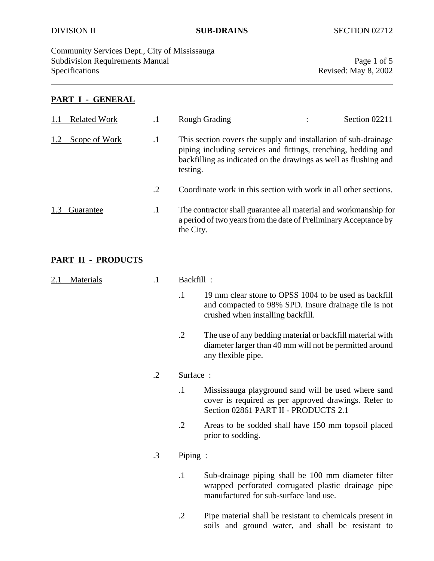Community Services Dept., City of Mississauga Subdivision Requirements Manual Page 1 of 5<br>Specifications Revised: May 8, 2002

## **PART I - GENERAL**

| <b>Related Work</b> |           | <b>Rough Grading</b>                                                                                                                                                                                              | Section 02211 |
|---------------------|-----------|-------------------------------------------------------------------------------------------------------------------------------------------------------------------------------------------------------------------|---------------|
| Scope of Work       | $\cdot^1$ | This section covers the supply and installation of sub-drainage<br>piping including services and fittings, trenching, bedding and<br>backfilling as indicated on the drawings as well as flushing and<br>testing. |               |
|                     | $\cdot$ 2 | Coordinate work in this section with work in all other sections.                                                                                                                                                  |               |
| Guarantee           | $\cdot$   | The contractor shall guarantee all material and workmanship for<br>a period of two years from the date of Preliminary Acceptance by<br>the City.                                                                  |               |

## **PART II - PRODUCTS**

| <b>Materials</b> | $\cdot$ 1  | Backfill:  |                                                                                                                                                      |  |
|------------------|------------|------------|------------------------------------------------------------------------------------------------------------------------------------------------------|--|
|                  |            | $\cdot$ 1  | 19 mm clear stone to OPSS 1004 to be used as backfill<br>and compacted to 98% SPD. Insure drainage tile is not<br>crushed when installing backfill.  |  |
|                  |            | $\cdot$ .2 | The use of any bedding material or backfill material with<br>diameter larger than 40 mm will not be permitted around<br>any flexible pipe.           |  |
|                  | $\cdot$ .2 |            | Surface:                                                                                                                                             |  |
|                  |            | $\cdot$ 1  | Mississauga playground sand will be used where sand<br>cover is required as per approved drawings. Refer to<br>Section 02861 PART II - PRODUCTS 2.1  |  |
|                  |            | .2         | Areas to be sodded shall have 150 mm topsoil placed<br>prior to sodding.                                                                             |  |
|                  | $\cdot$ 3  | Piping :   |                                                                                                                                                      |  |
|                  |            | $\cdot$    | Sub-drainage piping shall be 100 mm diameter filter<br>wrapped perforated corrugated plastic drainage pipe<br>manufactured for sub-surface land use. |  |
|                  |            | $\cdot$ .2 | Pipe material shall be resistant to chemicals present in<br>soils and ground water, and shall be resistant to                                        |  |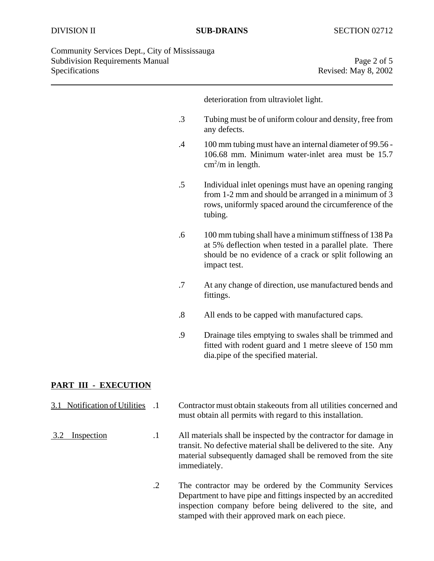| Community Services Dept., City of Mississauga |                      |
|-----------------------------------------------|----------------------|
| <b>Subdivision Requirements Manual</b>        | Page 2 of 5          |
| <b>Specifications</b>                         | Revised: May 8, 2002 |

deterioration from ultraviolet light. .3 Tubing must be of uniform colour and density, free from any defects. .4 100 mm tubing must have an internal diameter of 99.56 - 106.68 mm. Minimum water-inlet area must be 15.7  $\text{cm}^2/\text{m}$  in length. .5 Individual inlet openings must have an opening ranging from 1-2 mm and should be arranged in a minimum of 3 rows, uniformly spaced around the circumference of the tubing. .6 100 mm tubing shall have a minimum stiffness of 138 Pa at 5% deflection when tested in a parallel plate. There should be no evidence of a crack or split following an impact test. .7 At any change of direction, use manufactured bends and

- fittings.
- .8 All ends to be capped with manufactured caps.
- .9 Drainage tiles emptying to swales shall be trimmed and fitted with rodent guard and 1 metre sleeve of 150 mm dia.pipe of the specified material.

# **PART III - EXECUTION**

- 3.1 Notification of Utilities .1 Contractor must obtain stakeouts from all utilities concerned and must obtain all permits with regard to this installation.
- 3.2 Inspection .1 All materials shall be inspected by the contractor for damage in transit. No defective material shall be delivered to the site. Any material subsequently damaged shall be removed from the site immediately.
	- .2 The contractor may be ordered by the Community Services Department to have pipe and fittings inspected by an accredited inspection company before being delivered to the site, and stamped with their approved mark on each piece.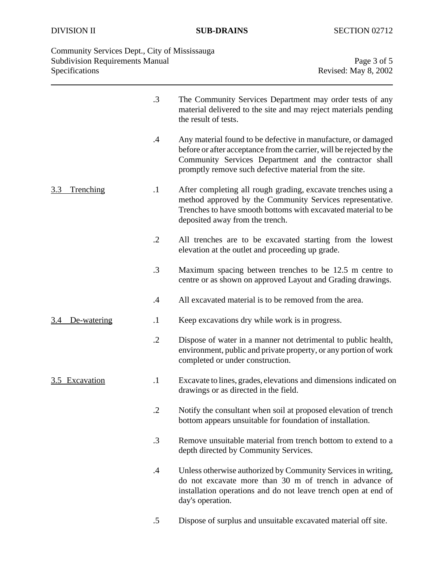| Specifications   | Community Services Dept., City of Mississauga<br><b>Subdivision Requirements Manual</b> | Page 3 of 5<br>Revised: May 8, 2002                                                                                                                                                                                                                       |  |
|------------------|-----------------------------------------------------------------------------------------|-----------------------------------------------------------------------------------------------------------------------------------------------------------------------------------------------------------------------------------------------------------|--|
|                  | $\cdot$ 3                                                                               | The Community Services Department may order tests of any<br>material delivered to the site and may reject materials pending<br>the result of tests.                                                                                                       |  |
|                  | $\cdot$                                                                                 | Any material found to be defective in manufacture, or damaged<br>before or after acceptance from the carrier, will be rejected by the<br>Community Services Department and the contractor shall<br>promptly remove such defective material from the site. |  |
| 3.3<br>Trenching | $\cdot$                                                                                 | After completing all rough grading, excavate trenches using a<br>method approved by the Community Services representative.                                                                                                                                |  |

- method approved by the Community Services representative. Trenches to have smooth bottoms with excavated material to be deposited away from the trench.
	- .2 All trenches are to be excavated starting from the lowest elevation at the outlet and proceeding up grade.
	- .3 Maximum spacing between trenches to be 12.5 m centre to centre or as shown on approved Layout and Grading drawings.
	- .4 All excavated material is to be removed from the area.
- 3.4 De-watering .1 Keep excavations dry while work is in progress.
	- .2 Dispose of water in a manner not detrimental to public health, environment, public and private property, or any portion of work completed or under construction.
- 3.5 Excavation .1 Excavate to lines, grades, elevations and dimensions indicated on drawings or as directed in the field.
	- .2 Notify the consultant when soil at proposed elevation of trench bottom appears unsuitable for foundation of installation.
	- .3 Remove unsuitable material from trench bottom to extend to a depth directed by Community Services.
	- .4 Unless otherwise authorized by Community Services in writing, do not excavate more than 30 m of trench in advance of installation operations and do not leave trench open at end of day's operation.
	- .5 Dispose of surplus and unsuitable excavated material off site.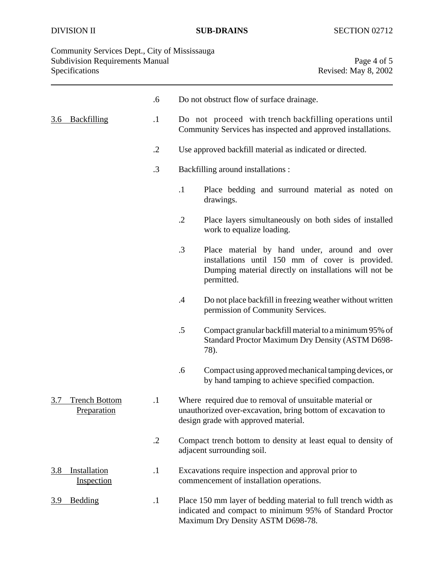| Community Services Dept., City of Mississauga |                      |
|-----------------------------------------------|----------------------|
| <b>Subdivision Requirements Manual</b>        | Page 4 of 5          |
| Specifications                                | Revised: May 8, 2002 |

|            |                                     | .6         |                                                                                                                                                                 | Do not obstruct flow of surface drainage.                                                                                                                                 |
|------------|-------------------------------------|------------|-----------------------------------------------------------------------------------------------------------------------------------------------------------------|---------------------------------------------------------------------------------------------------------------------------------------------------------------------------|
| 3.6        | <b>Backfilling</b>                  | $\cdot$    | Do not proceed with trench backfilling operations until<br>Community Services has inspected and approved installations.                                         |                                                                                                                                                                           |
|            |                                     | $\cdot$ .2 | Use approved backfill material as indicated or directed.                                                                                                        |                                                                                                                                                                           |
|            |                                     | $\cdot$ 3  |                                                                                                                                                                 | Backfilling around installations :                                                                                                                                        |
|            |                                     |            | $\cdot$                                                                                                                                                         | Place bedding and surround material as noted on<br>drawings.                                                                                                              |
|            |                                     |            | $\cdot$ .2                                                                                                                                                      | Place layers simultaneously on both sides of installed<br>work to equalize loading.                                                                                       |
|            |                                     |            | .3                                                                                                                                                              | Place material by hand under, around and over<br>installations until 150 mm of cover is provided.<br>Dumping material directly on installations will not be<br>permitted. |
|            |                                     |            | .4                                                                                                                                                              | Do not place backfill in freezing weather without written<br>permission of Community Services.                                                                            |
|            |                                     |            | .5<br>78).                                                                                                                                                      | Compact granular backfill material to a minimum 95% of<br>Standard Proctor Maximum Dry Density (ASTM D698-                                                                |
|            |                                     |            | .6                                                                                                                                                              | Compact using approved mechanical tamping devices, or<br>by hand tamping to achieve specified compaction.                                                                 |
| 3.7        | <b>Trench Bottom</b><br>Preparation | $\cdot$    |                                                                                                                                                                 | Where required due to removal of unsuitable material or<br>unauthorized over-excavation, bring bottom of excavation to<br>design grade with approved material.            |
|            |                                     | $\cdot$ .2 |                                                                                                                                                                 | Compact trench bottom to density at least equal to density of<br>adjacent surrounding soil.                                                                               |
| <u>3.8</u> | Installation<br>Inspection          | $\cdot$    | Excavations require inspection and approval prior to<br>commencement of installation operations.                                                                |                                                                                                                                                                           |
| <u>3.9</u> | <b>Bedding</b>                      | $\cdot$    | Place 150 mm layer of bedding material to full trench width as<br>indicated and compact to minimum 95% of Standard Proctor<br>Maximum Dry Density ASTM D698-78. |                                                                                                                                                                           |